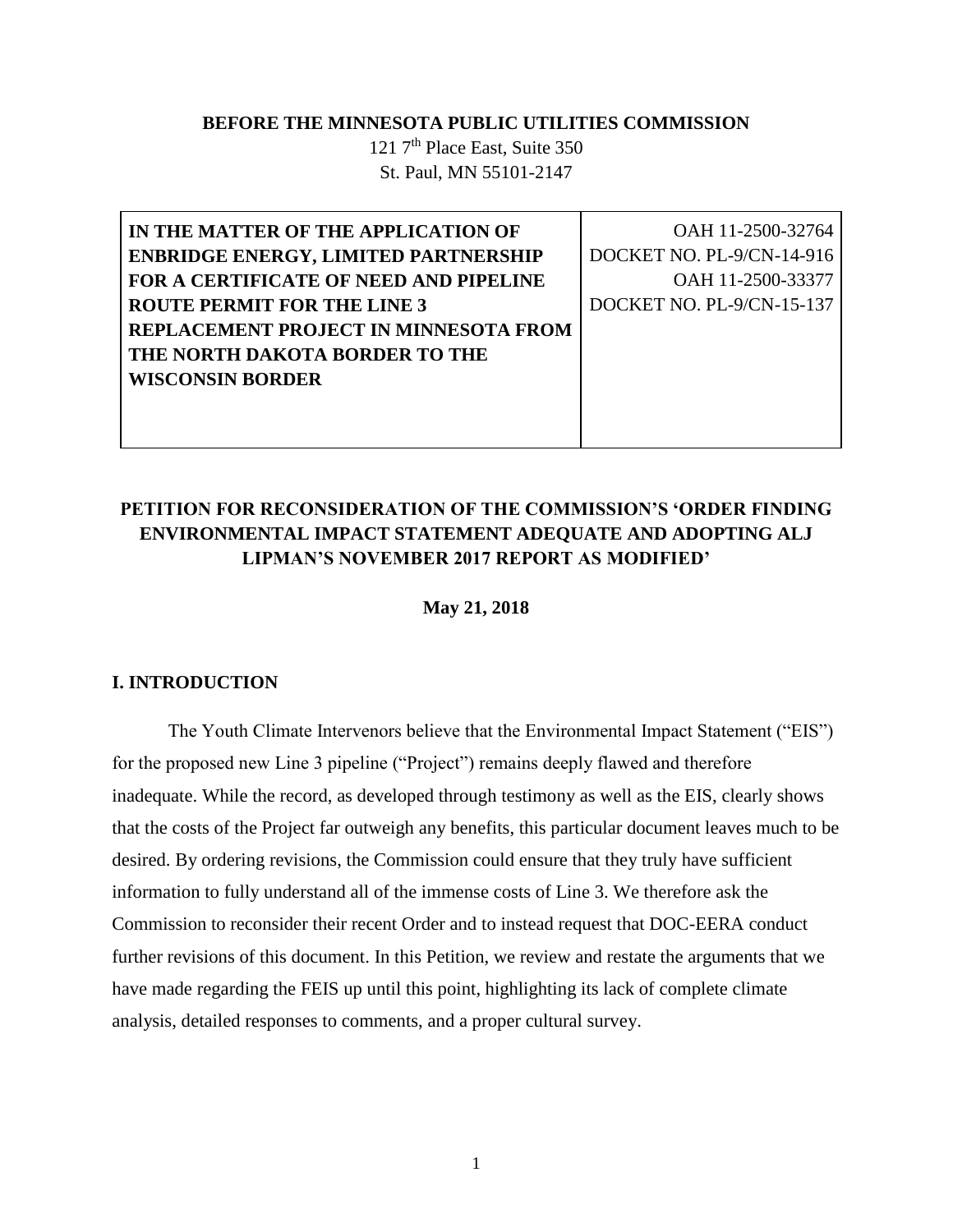### **BEFORE THE MINNESOTA PUBLIC UTILITIES COMMISSION**

121 7<sup>th</sup> Place East, Suite 350 St. Paul, MN 55101-2147

| IN THE MATTER OF THE APPLICATION OF         | OAH 11-2500-32764         |
|---------------------------------------------|---------------------------|
| <b>ENBRIDGE ENERGY, LIMITED PARTNERSHIP</b> | DOCKET NO. PL-9/CN-14-916 |
| FOR A CERTIFICATE OF NEED AND PIPELINE      | OAH 11-2500-33377         |
| <b>ROUTE PERMIT FOR THE LINE 3</b>          | DOCKET NO. PL-9/CN-15-137 |
| REPLACEMENT PROJECT IN MINNESOTA FROM       |                           |
| THE NORTH DAKOTA BORDER TO THE              |                           |
| <b>WISCONSIN BORDER</b>                     |                           |
|                                             |                           |
|                                             |                           |

### **PETITION FOR RECONSIDERATION OF THE COMMISSION'S 'ORDER FINDING ENVIRONMENTAL IMPACT STATEMENT ADEQUATE AND ADOPTING ALJ LIPMAN'S NOVEMBER 2017 REPORT AS MODIFIED'**

#### **May 21, 2018**

#### **I. INTRODUCTION**

 The Youth Climate Intervenors believe that the Environmental Impact Statement ("EIS") for the proposed new Line 3 pipeline ("Project") remains deeply flawed and therefore inadequate. While the record, as developed through testimony as well as the EIS, clearly shows that the costs of the Project far outweigh any benefits, this particular document leaves much to be desired. By ordering revisions, the Commission could ensure that they truly have sufficient information to fully understand all of the immense costs of Line 3. We therefore ask the Commission to reconsider their recent Order and to instead request that DOC-EERA conduct further revisions of this document. In this Petition, we review and restate the arguments that we have made regarding the FEIS up until this point, highlighting its lack of complete climate analysis, detailed responses to comments, and a proper cultural survey.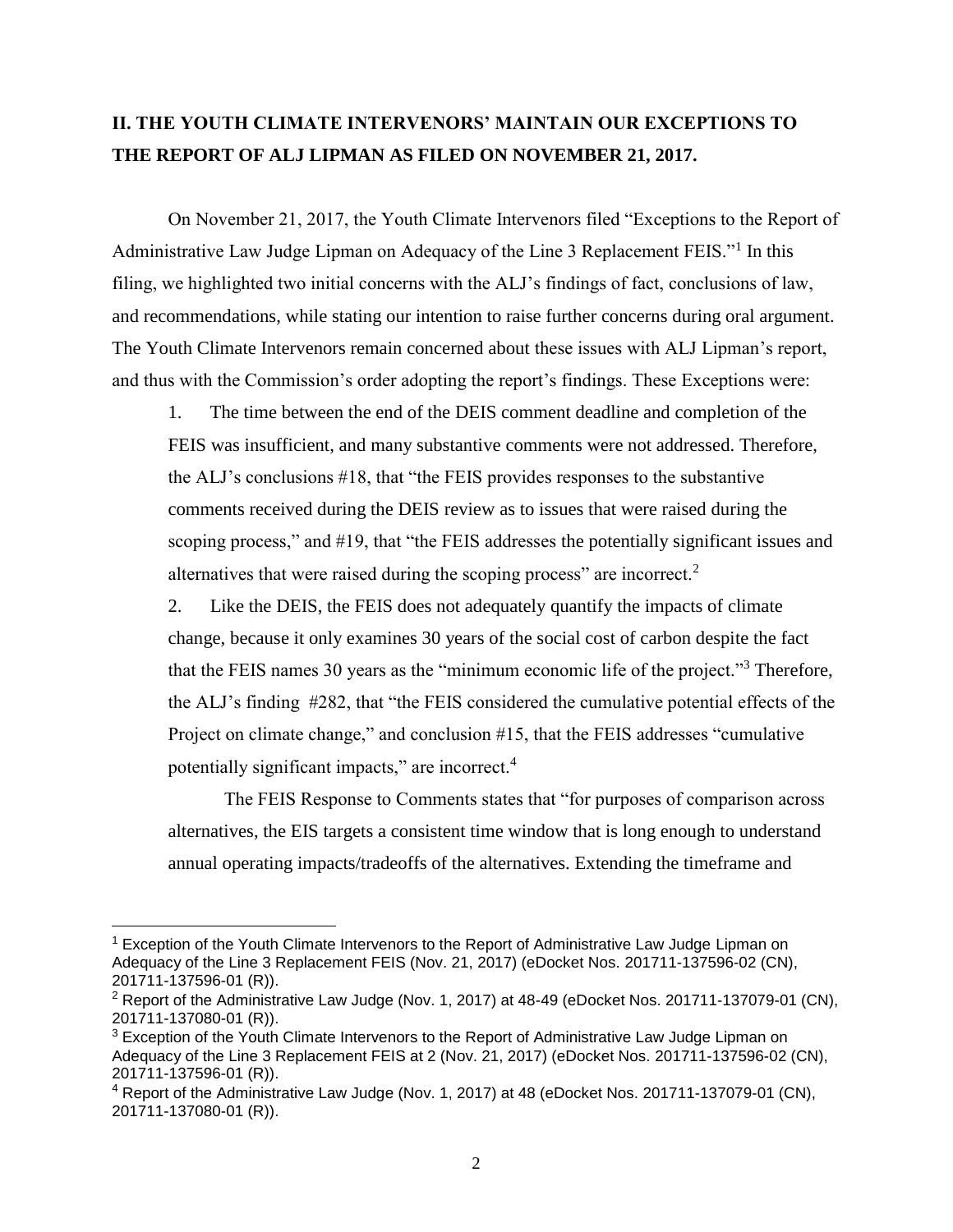### **II. THE YOUTH CLIMATE INTERVENORS' MAINTAIN OUR EXCEPTIONS TO THE REPORT OF ALJ LIPMAN AS FILED ON NOVEMBER 21, 2017.**

 On November 21, 2017, the Youth Climate Intervenors filed "Exceptions to the Report of Administrative Law Judge Lipman on Adequacy of the Line 3 Replacement FEIS."<sup>1</sup> In this filing, we highlighted two initial concerns with the ALJ's findings of fact, conclusions of law, and recommendations, while stating our intention to raise further concerns during oral argument. The Youth Climate Intervenors remain concerned about these issues with ALJ Lipman's report, and thus with the Commission's order adopting the report's findings. These Exceptions were:

1. The time between the end of the DEIS comment deadline and completion of the FEIS was insufficient, and many substantive comments were not addressed. Therefore, the ALJ's conclusions #18, that "the FEIS provides responses to the substantive comments received during the DEIS review as to issues that were raised during the scoping process," and #19, that "the FEIS addresses the potentially significant issues and alternatives that were raised during the scoping process" are incorrect.<sup>2</sup>

2. Like the DEIS, the FEIS does not adequately quantify the impacts of climate change, because it only examines 30 years of the social cost of carbon despite the fact that the FEIS names 30 years as the "minimum economic life of the project."<sup>3</sup> Therefore, the ALJ's finding #282, that "the FEIS considered the cumulative potential effects of the Project on climate change," and conclusion #15, that the FEIS addresses "cumulative potentially significant impacts," are incorrect.<sup>4</sup>

The FEIS Response to Comments states that "for purposes of comparison across alternatives, the EIS targets a consistent time window that is long enough to understand annual operating impacts/tradeoffs of the alternatives. Extending the timeframe and

 $\overline{a}$ 

<sup>&</sup>lt;sup>1</sup> Exception of the Youth Climate Intervenors to the Report of Administrative Law Judge Lipman on Adequacy of the Line 3 Replacement FEIS (Nov. 21, 2017) (eDocket Nos. 201711-137596-02 (CN), 201711-137596-01 (R)).

 $2$  Report of the Administrative Law Judge (Nov. 1, 2017) at 48-49 (eDocket Nos. 201711-137079-01 (CN), 201711-137080-01 (R)).

<sup>&</sup>lt;sup>3</sup> Exception of the Youth Climate Intervenors to the Report of Administrative Law Judge Lipman on Adequacy of the Line 3 Replacement FEIS at 2 (Nov. 21, 2017) (eDocket Nos. 201711-137596-02 (CN), 201711-137596-01 (R)).

<sup>4</sup> Report of the Administrative Law Judge (Nov. 1, 2017) at 48 (eDocket Nos. 201711-137079-01 (CN), 201711-137080-01 (R)).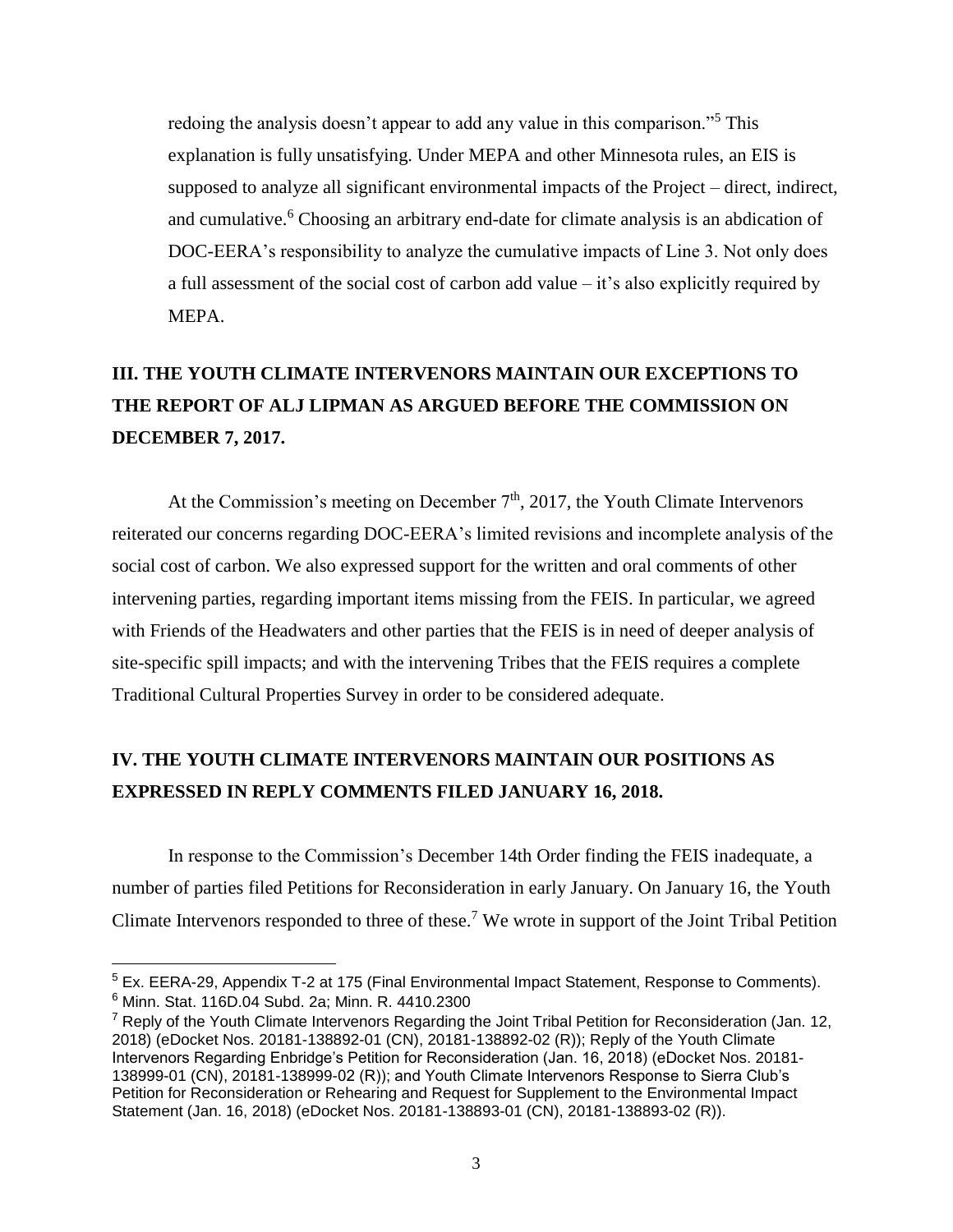redoing the analysis doesn't appear to add any value in this comparison."<sup>5</sup> This explanation is fully unsatisfying. Under MEPA and other Minnesota rules, an EIS is supposed to analyze all significant environmental impacts of the Project – direct, indirect, and cumulative.<sup>6</sup> Choosing an arbitrary end-date for climate analysis is an abdication of DOC-EERA's responsibility to analyze the cumulative impacts of Line 3. Not only does a full assessment of the social cost of carbon add value  $-i$  it's also explicitly required by MEPA.

# **III. THE YOUTH CLIMATE INTERVENORS MAINTAIN OUR EXCEPTIONS TO THE REPORT OF ALJ LIPMAN AS ARGUED BEFORE THE COMMISSION ON DECEMBER 7, 2017.**

At the Commission's meeting on December  $7<sup>th</sup>$ , 2017, the Youth Climate Intervenors reiterated our concerns regarding DOC-EERA's limited revisions and incomplete analysis of the social cost of carbon. We also expressed support for the written and oral comments of other intervening parties, regarding important items missing from the FEIS. In particular, we agreed with Friends of the Headwaters and other parties that the FEIS is in need of deeper analysis of site-specific spill impacts; and with the intervening Tribes that the FEIS requires a complete Traditional Cultural Properties Survey in order to be considered adequate.

## **IV. THE YOUTH CLIMATE INTERVENORS MAINTAIN OUR POSITIONS AS EXPRESSED IN REPLY COMMENTS FILED JANUARY 16, 2018.**

In response to the Commission's December 14th Order finding the FEIS inadequate, a number of parties filed Petitions for Reconsideration in early January. On January 16, the Youth Climate Intervenors responded to three of these.<sup>7</sup> We wrote in support of the Joint Tribal Petition

<sup>5</sup> Ex. EERA-29, Appendix T-2 at 175 (Final Environmental Impact Statement, Response to Comments). <sup>6</sup> Minn. Stat. 116D.04 Subd. 2a; Minn. R. 4410.2300

 $7$  Reply of the Youth Climate Intervenors Regarding the Joint Tribal Petition for Reconsideration (Jan. 12, 2018) (eDocket Nos. 20181-138892-01 (CN), 20181-138892-02 (R)); Reply of the Youth Climate Intervenors Regarding Enbridge's Petition for Reconsideration (Jan. 16, 2018) (eDocket Nos. 20181- 138999-01 (CN), 20181-138999-02 (R)); and Youth Climate Intervenors Response to Sierra Club's Petition for Reconsideration or Rehearing and Request for Supplement to the Environmental Impact Statement (Jan. 16, 2018) (eDocket Nos. 20181-138893-01 (CN), 20181-138893-02 (R)).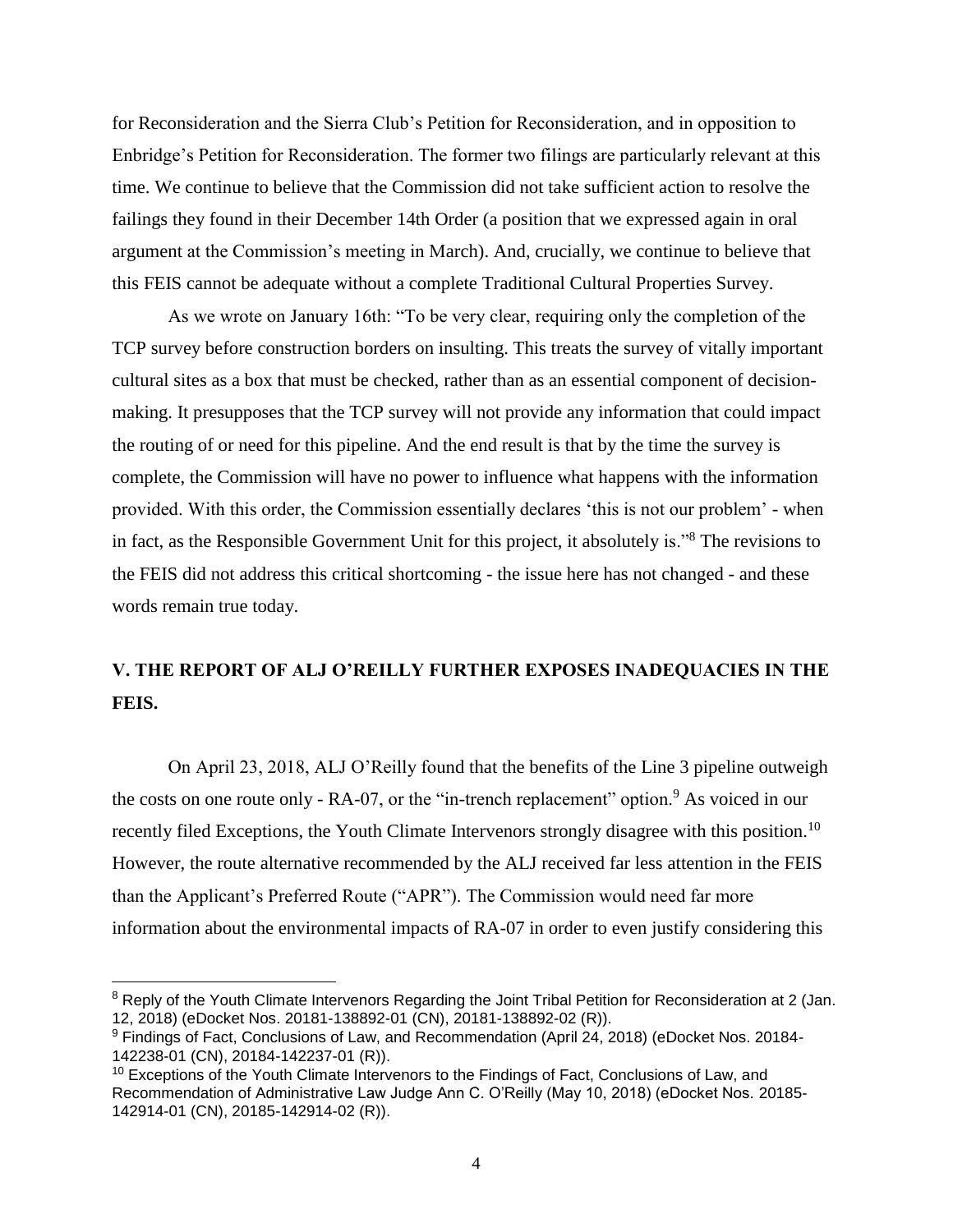for Reconsideration and the Sierra Club's Petition for Reconsideration, and in opposition to Enbridge's Petition for Reconsideration. The former two filings are particularly relevant at this time. We continue to believe that the Commission did not take sufficient action to resolve the failings they found in their December 14th Order (a position that we expressed again in oral argument at the Commission's meeting in March). And, crucially, we continue to believe that this FEIS cannot be adequate without a complete Traditional Cultural Properties Survey.

As we wrote on January 16th: "To be very clear, requiring only the completion of the TCP survey before construction borders on insulting. This treats the survey of vitally important cultural sites as a box that must be checked, rather than as an essential component of decisionmaking. It presupposes that the TCP survey will not provide any information that could impact the routing of or need for this pipeline. And the end result is that by the time the survey is complete, the Commission will have no power to influence what happens with the information provided. With this order, the Commission essentially declares 'this is not our problem' - when in fact, as the Responsible Government Unit for this project, it absolutely is."<sup>8</sup> The revisions to the FEIS did not address this critical shortcoming - the issue here has not changed - and these words remain true today.

### **V. THE REPORT OF ALJ O'REILLY FURTHER EXPOSES INADEQUACIES IN THE FEIS.**

On April 23, 2018, ALJ O'Reilly found that the benefits of the Line 3 pipeline outweigh the costs on one route only  $- RA-07$ , or the "in-trench replacement" option. As voiced in our recently filed Exceptions, the Youth Climate Intervenors strongly disagree with this position.<sup>10</sup> However, the route alternative recommended by the ALJ received far less attention in the FEIS than the Applicant's Preferred Route ("APR"). The Commission would need far more information about the environmental impacts of RA-07 in order to even justify considering this

 $\overline{a}$ 

<sup>&</sup>lt;sup>8</sup> Reply of the Youth Climate Intervenors Regarding the Joint Tribal Petition for Reconsideration at 2 (Jan. 12, 2018) (eDocket Nos. 20181-138892-01 (CN), 20181-138892-02 (R)).

<sup>9</sup> Findings of Fact, Conclusions of Law, and Recommendation (April 24, 2018) (eDocket Nos. 20184- 142238-01 (CN), 20184-142237-01 (R)).

<sup>&</sup>lt;sup>10</sup> Exceptions of the Youth Climate Intervenors to the Findings of Fact, Conclusions of Law, and Recommendation of Administrative Law Judge Ann C. O'Reilly (May 10, 2018) (eDocket Nos. 20185- 142914-01 (CN), 20185-142914-02 (R)).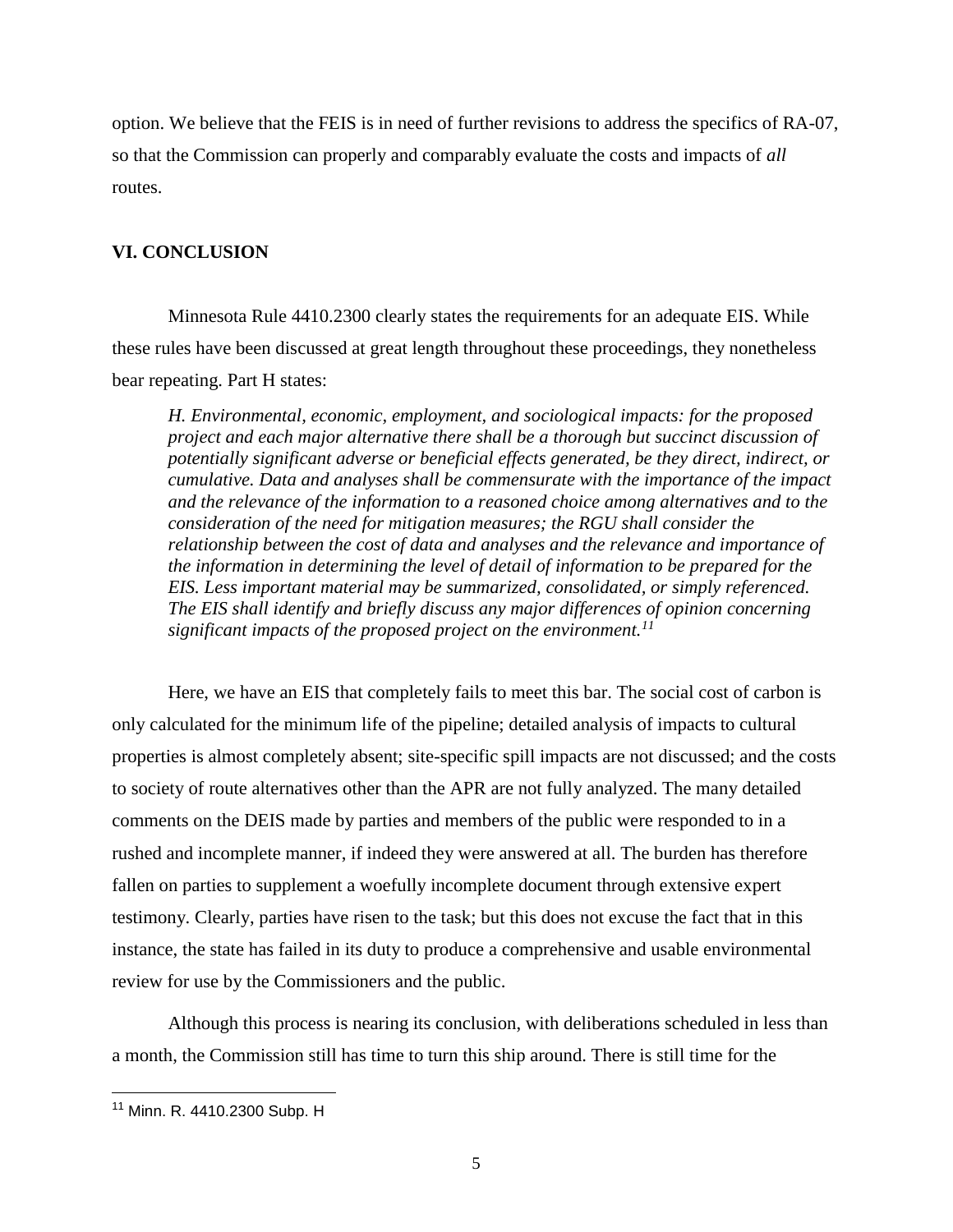option. We believe that the FEIS is in need of further revisions to address the specifics of RA-07, so that the Commission can properly and comparably evaluate the costs and impacts of *all*  routes.

### **VI. CONCLUSION**

Minnesota Rule 4410.2300 clearly states the requirements for an adequate EIS. While these rules have been discussed at great length throughout these proceedings, they nonetheless bear repeating. Part H states:

*H. Environmental, economic, employment, and sociological impacts: for the proposed project and each major alternative there shall be a thorough but succinct discussion of potentially significant adverse or beneficial effects generated, be they direct, indirect, or cumulative. Data and analyses shall be commensurate with the importance of the impact and the relevance of the information to a reasoned choice among alternatives and to the consideration of the need for mitigation measures; the RGU shall consider the relationship between the cost of data and analyses and the relevance and importance of the information in determining the level of detail of information to be prepared for the EIS. Less important material may be summarized, consolidated, or simply referenced. The EIS shall identify and briefly discuss any major differences of opinion concerning significant impacts of the proposed project on the environment.<sup>11</sup>*

Here, we have an EIS that completely fails to meet this bar. The social cost of carbon is only calculated for the minimum life of the pipeline; detailed analysis of impacts to cultural properties is almost completely absent; site-specific spill impacts are not discussed; and the costs to society of route alternatives other than the APR are not fully analyzed. The many detailed comments on the DEIS made by parties and members of the public were responded to in a rushed and incomplete manner, if indeed they were answered at all. The burden has therefore fallen on parties to supplement a woefully incomplete document through extensive expert testimony. Clearly, parties have risen to the task; but this does not excuse the fact that in this instance, the state has failed in its duty to produce a comprehensive and usable environmental review for use by the Commissioners and the public.

Although this process is nearing its conclusion, with deliberations scheduled in less than a month, the Commission still has time to turn this ship around. There is still time for the

<sup>11</sup> Minn. R. 4410.2300 Subp. H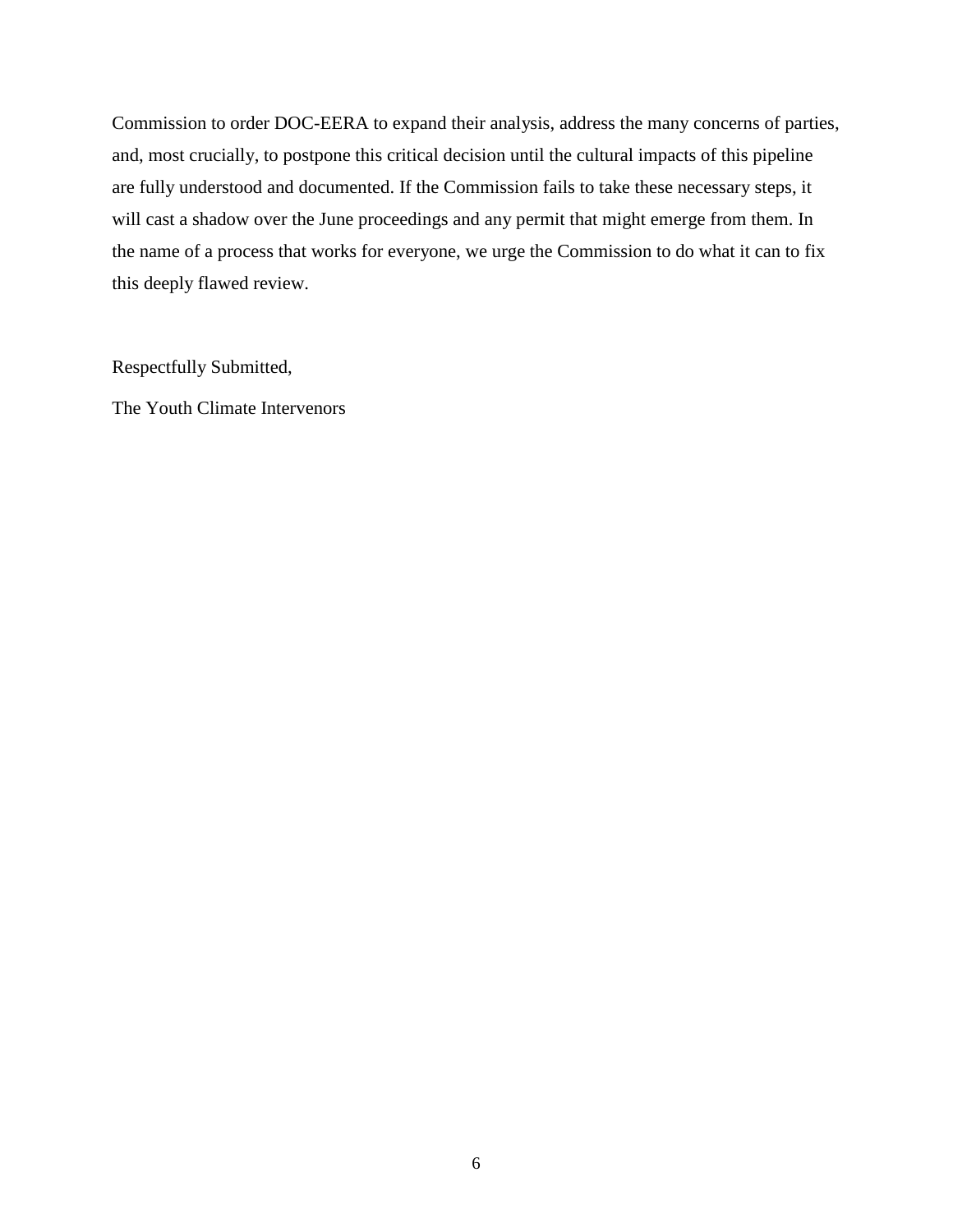Commission to order DOC-EERA to expand their analysis, address the many concerns of parties, and, most crucially, to postpone this critical decision until the cultural impacts of this pipeline are fully understood and documented. If the Commission fails to take these necessary steps, it will cast a shadow over the June proceedings and any permit that might emerge from them. In the name of a process that works for everyone, we urge the Commission to do what it can to fix this deeply flawed review.

Respectfully Submitted,

The Youth Climate Intervenors